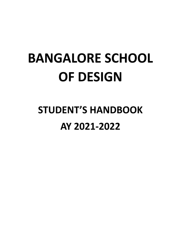# **BANGALORE SCHOOL OF DESIGN**

## **STUDENT'S HANDBOOK** AY 2021-2022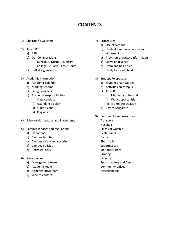## **CONTENTS**

- 1) Chairman's welcome
- 2) About BSD
	- a) BSD
	- b) Our Collaborations
		- i) Bengaluru North University
		- ii) Collège De Paris Ecole Conte
	- c) BSD at a glance
- 3) Academic information
	- a) Academic calendar
	- b) Marking scheme
	- c) Design projects
	- d) Academic responsibilities
		- i) Class conduct
		- ii) Attendance policy
		- iii) Submissions
		- iv) Plagiarism
- 4) Scholarships, awards and Placements
- 5) Campus services and regulations
	- a) Honor code
	- b) Campus facilities
	- c) Campus safety and security
	- d) Campus policies
	- e) Redressal cells
- 6) Who is who?
	- a) Management team
	- b) Academic team
	- c) Administrative team
	- d) Who to contact?
- 7) Procedures
	- a) Use of campus
	- b) Student handbook verification statement
	- c) Provision of contact information
	- d) Leave of absence
	- e) Exam and hall ticket
	- f) Study tours and field trips
- 8) Student Perspective
	- a) Student organizations
	- b) Activities on campus
	- c) After BSD
		- i) Masters and beyond
		- ii) Work opportunities
		- iii) Alumni Association
	- d) City of Bangalore
- 9) Community and resources
	- **Transport**
	- Hospitals
	- Places of worship **Restaurants**
	- Banks
	- Pharmacies
	- Supermarkets
	- Stationary store
	- Printing
	- Laundry
	- Sports centers and Gyms
	- Community offices
	- Miscellaneous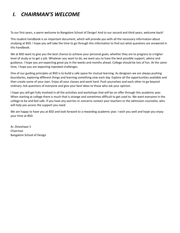## *I. CHAIRMAN'S WELCOME*

To our first years, a warm welcome to Bangalore School of Design! And to our second and third years, welcome back!

This student handbook is an important document, which will provide you with all the necessary information about studying at BSD. I hope you will take the time to go through this information to find out what questions are answered in this handbook.

We at BSD want to give you the best chance to achieve your personal goals, whether they are to progress to a higher level of study or to get a job. Whatever you want to do, we want you to have the best possible support, advice and guidance. I hope you are expecting great joy in the weeks and months ahead. College should be lots of fun. At the same time, I hope you are expecting repeated challenges.

One of our guiding principles at BSD is to build a safe space for mutual learning. As designers we are always pushing boundaries, exploring different things and learning something new each day. Explore all the opportunities available and then create some of your own. Enjoy all your classes and work hard. Push yourselves and each other to go beyond ordinary. Ask questions of everyone and give your best ideas to those who ask your opinion.

I hope you will get fully involved in all the activities and workshops that will be on offer through this academic year. When starting at college there is much that is strange and sometimes difficult to get used to. We want everyone in the college to be and feel safe. If you have any worries or concerns contact your teachers or the admission counselor, who will help you access the support you need.

We are happy to have you at BSD and look forward to a rewarding academic year. I wish you well and hope you enjoy your time at BSD.

Ar. Dineshwar S Chairman Bangalore School of Design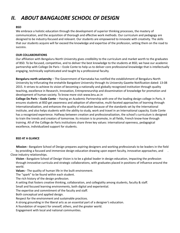## *II. ABOUT BANGALORE SCHOOL OF DESIGN*

#### **BSD**

We embrace a holistic education through the development of superior thinking processes, the mastery of communication, and the acquisition of thorough and effective work methods. Our curriculum and pedagogy are designed to be industry-focused and relevant. Our students are empowered to innovate with creativity. The skills that our students acquire will far exceed the knowledge and expertise of the profession, setting them on the road to success.

#### **OUR COLLABORATIONS**

Our affiliation with Bengaluru North University gives credibility to the curriculum and market worth to the graduates of BSD. To be focused, competitive, and to deliver the best knowledge to the students at BSD, we have our academic partnership with College De Paris – Ecole Conte to help us to deliver core professional knowledge that is intellectually engaging, technically sophisticated and taught by a professional faculty.

**Bengaluru north university** – The Government of Karnataka has notified the establishment of Bengaluru North University by trifurcating the erstwhile Bangalore University through its University Gazette Notification dated: 13-08 2015. It strives to achieve its vision of becoming a nationally and globally recognized institution through quality teaching, excellence in Research, Innovation, Entrepreneurship and dissemination of knowledge for promotion and development of human society. To know more visit www.bnu.ac.in

**College De Paris – Ecole Conte** – Having an Academic Partnership with one of the leading design college in Paris, it ensures students at BSD get awareness and adoption of alternative, multi-faceted approaches of learning through Internationalization, and enhances the quality of education because of the standards set by the International institute, and also helps students with the ability to study, work and travel in an International capacity. Ecole Conte has a recognized experience. Halfway between creation and professionalization, the school's curriculum is designed to train the trends and creators of tomorrow. Its mission is to promote, in all fields, French know-how through training. All of the Collège de Paris institutions share three key values: international openness, pedagogical excellence, individualized support for students.

#### **BSD AT A GLANCE**

**Mission -** Bangalore School of Design prepares aspiring designers and working professionals to be leaders in the field by providing a focused and immersive design education drawing upon expert faculty, innovative approaches, and Close industry relationships.

**Vision -** Bangalore School of Design Vision is to be a global leader in design education, impacting the profession through innovative curricula and strategic collaborations, with graduates placed in positions of influence around the world.

**Values -** The quality of human life in the built environment.

The "spark" to be found within each student.

The rich history of the design profession.

A setting that fosters creative thinking, collaboration, and collegiality among students, faculty & staff.

Small and focused learning environments, both digital and experiential.

The expertise and commitment of the faculty and staff.

Both conceptual and applied design.

Respect for the environment and sustainable practices.

A strong grounding in the liberal arts as an essential part of a designer's education.

A foundation of respect for oneself, others, and the greater world.

Engagement with local and national communities.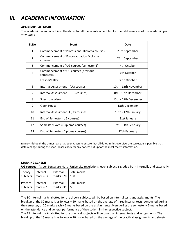## *III. ACADEMIC INFORMATION*

#### **ACADEMIC CALENDAR**

The academic calendar outlines the dates for all the events scheduled for the odd semester of the academic year 2021-2022.

| SI.No        | <b>Event</b>                                       | Date                 |
|--------------|----------------------------------------------------|----------------------|
| $\mathbf{1}$ | Commencement of Professional Diploma courses       | 23rd September       |
| 2            | Commencement of Post-graduation Diploma<br>courses | 27th September       |
| 3            | Commencement of UG courses (semester 1)            | 4th October          |
| 4            | Commencement of UG courses (previous<br>semesters) | 6th October          |
| 5            | Fresher's Day                                      | 30th October         |
| 6            | Internal Assessment I (UG courses)                 | 10th - 12th November |
| 7            | Internal Assessment II (UG courses)                | 8th - 10th December  |
| 8            | Spectrum Week                                      | 13th - 17th December |
| 9            | Open House                                         | 18th December        |
| 10           | Internal Assessment III (UG courses)               | 10th - 12th January  |
| 11           | End of Semester (UG courses)                       | 31st January         |
| 12           | Semester Exams (Diploma courses)                   | 7th - 11th February  |
| 13           | End of Semester (Diploma courses)                  | 12th February        |

NOTE – Although the utmost care has been taken to ensure that all dates in this overview are correct, it is possible that dates change during the year. Please check for any notices put up for the most recent information.

#### **MARKING SCHEME**

**UG courses** - As per Bengaluru North University regulations, each subject is graded both internally and externally.

| Theory<br>subjects   | Internal<br>marks - 30<br>$\mathbf{I}$ | External<br>marks - 70 | Total marks -<br>100 |
|----------------------|----------------------------------------|------------------------|----------------------|
| Practical   Internal | marks - 15                             | External               | Total marks -        |
| subjects             |                                        | marks - $35$           | -50                  |

The 30 internal marks allotted for the theory subjects will be based on internal tests and assignments. The breakup of the 30 marks is as follows – 20 marks based on the average of three internal tests, conducted during the semester, of 20 marks each – 5 marks based on the assignments given during the semester – 5 marks based on the attendance and general performance of the student in the respective subject.

The 15 internal marks allotted for the practical subjects will be based on internal tests and assignments. The breakup of the 15 marks is as follows – 10 marks based on the average of the practical assignments and sheets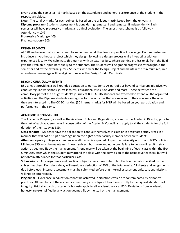given during the semester – 5 marks based on the attendance and general performance of the student in the respective subject.

Note - The total IA marks for each subject is based on the syllabus matrix issued from the university. **Diploma program** - Students' assessment is done during semester I and semester II independently. Each semester will have progressive marking and a final evaluation. The assessment scheme is as follows – Attendance – 10% Progressive Marking – 40% Final evaluation – 50%

#### **DESIGN PROJECTS**

At BSD we believe that students need to implement what they learn as practical knowledge. Each semester we introduce a hypothetical project which they design, following a design process while interacting with our experienced faculty. We culminate this journey with an external jury, where working professionals from the field give their valuable input individually to the students. The students will be graded progressively throughout the semester and by the external jurors. Students who clear the Design Project and maintain the minimum required attendance percentage will be eligible to receive the Design Studio Certificate.

#### **BEYOND CURRICULUM EVENTS**

BSD aims at providing a well-rounded education to our students. As part of our beyond curriculum initiative, we conduct regular workshops, guest lectures, educational visits, site visits and more. These activities are a compulsory part of the design student's journey at BSD. All UG students are expected to attend all the organized activities and the Diploma students can register for the activities that are relevant to their course or the ones they are interested in. The CC.EC marking (50 internal marks) for BNU will be based on your participation and performance in the same.

#### **ACADEMIC RESPONSIBILITIES**

The Academic Program, as well as the Academic Rules and Regulations, are set by the Academic Director, prior to the start of each academic year in consultation of the Academic Council, and apply to all the students for the full duration of their study at BSD.

**Class conduct** – Students have the obligation to conduct themselves in class or in designated study areas in a manner that will not disrupt or infringe upon the rights of the faculty member or fellow students.

**Attendance policy** – Regular attendance in all classes is expected. As per the university norms and BSD's policies, Minimum 85% must be maintained in each subject, both core and non-core. Failure to do so will result in strict action as deemed fit by the management. Attendance will be taken at the beginning of each class within the first 5 minutes, after which the student may attend the class with the permission of the respective teachers, but will not obtain attendance for that particular class.

**Submissions** – All assignments and practical subject sheets have to be submitted on the date specified by the subject teachers. Each day's delay will result in a deduction of 20% of the total marks. All sheets and assignments due before each internal assessment must be submitted before that internal assessment only. Late submissions will not be entertained.

**Plagiarism –** Excellence in education cannot be achieved in situations which are contaminated by dishonest practices. All members of the academic community are obligated to adhere strictly to the highest standards of integrity. Strict standards of academic honesty apply to all academic work at BSD. Deviations from academic honesty are exemplified by any action deemed fit by the staff or the management.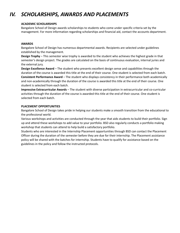## *IV. SCHOLARSHIPS, AWARDS AND PLACEMENTS*

#### **ACADEMIC SCHOLARSHIPS**

Bangalore School of Design awards scholarships to students who come under specific criteria set by the management. For more information regarding scholarships and financial aid, contact the accounts department.

#### **AWARDS**

Bangalore School of Design has numerous departmental awards. Recipients are selected under guidelines established by the management.

**Design Trophy** – This semester wise trophy is awarded to the student who achieves the highest grade in that semester's design project. The grades are calculated on the basis of continuous evaluation, internal juries and the external jury.

**Design Excellence Award** – The student who presents excellent design sense and capabilities through the duration of the course is awarded this title at the end of their course. One student is selected from each batch. **Consistent Performance Award** – The student who displays consistency in their performance both academically and non-academically through the duration of the course is awarded this title at the end of their course. One student is selected from each batch.

**Impressive Extracurricular Awards** – The student with diverse participation in extracurricular and co-curricular activities through the duration of the course is awarded this title at the end of their course. One student is selected from each batch.

#### **PLACEMENT OPPORTUNITIES**

Bangalore School of Design takes pride in helping our students make a smooth transition from the educational to the professional world.

Various workshops and activities are conducted through the year that aids students to build their portfolio. Sign up and attend these workshops to add value to your portfolio. BSD also regularly conducts a portfolio making workshop that students can attend to help build a satisfactory portfolio.

Students who are interested in the Internship Placement opportunities through BSD can contact the Placement Officer during the duration of the semester before they are due for their internship. The Placement assistance policy will be shared with the batches for internship. Students have to qualify for assistance based on the guidelines in the policy and follow the instructed protocols.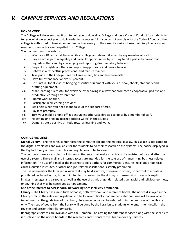## *V. CAMPUS SERVICES AND REGULATIONS*

#### **HONOR CODE**

The College will do everything it can to help you to do well at College and has a Code of Conduct for students to tell you what we expect you to do in order to be successful. If you do not comply with the Code of Conduct, the college is authorized to take action as deemed necessary. In the case of a serious breach of discipline, a student may be suspended or even expelled from College.

Your commitment towards us –

- i. Wear your ID card at all times while at college and show it if asked by any member of staff.
- ii. Play an active part in equality and diversity opportunities by refusing to take part in behavior that degrades others and by challenging and reporting discriminatory behavior.
- iii. Respect the rights of others and report inappropriate and unsafe behavior.
- iv. Behave in a respectful, professional and mature manner.
- v. Take pride in the College keep all areas clean, tidy and free from litter.
- vi. Have full attendance, above 85 percent.
- vii. Be punctual for all classes bringing essential equipment with you i.e. book, sheets, stationary and drafting equipment.
- viii. Make learning successful for everyone by behaving in a way that promotes a cooperative, positive and productive learning environment.
- ix. Submit work on time.
- x. Participate in all learning activities.
- xi. Seek help when you need it and take up the support offered.
- xii. Pay fees promptly.
- xiii. Turn your mobile phone off in class unless otherwise directed to do so by a member of staff.
- xiv. No eating or drinking (except bottled water) in the studios.
- xv. Demonstrate a positive attitude towards learning and work.

#### **CAMPUS FACILITIES**

**Digital Library –** The research center hosts the computer lab and the material display. This space is dedicated to the digital arts classes and available for the students to do their research on the systems. The notice displayed in the Digital Library outlines the rules and regulations to be followed.

The computers are accessible to all students. Students must make an entry in the register before and after the use of a system. The e-mail and Internet access are intended for the sole use of transmitting business-related information. The use of e-mail or the Internet to solicit others for commercial ventures, religious or political causes, outside institutes, or other non-job-related solicitations is strictly prohibited.

The use of e-mail or the Internet in ways that may be disruptive, offensive to others, or harmful to morale is prohibited. Included in this, but not limited to this, would be the display or transmission of sexually explicit images, messages and cartoons, as well as the use of ethnic or gender-related slurs, racial and religious epithets, or anything that may be construed as harassment.

#### **Use of the internet to access social networking sites is strictly prohibited.**

**Library –** The Library has a multitude of books, both textbooks and reference books. The notice displayed in the Library outlines the rules and regulations to be followed. Books that are dedicated for issue will be available to issue based on the guidelines of the library. Reference books can be referred to in the premises of the library only. The issue of books from the library will be done by the librarian to students who enter their details in the register and present their library cards.

Reprographic services are available with the Librarian. The costing for different services along with the sheet size is displayed on the notice boards in the research center. Contact the librarian for any services.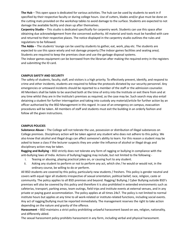**The Hub** – This open space is dedicated for various activities. The hub can be used by students to work in if specified by their respective faculty or during college hours. Use of cutters, blades and/or glue must be done on the cutting mats provided on the workshop tables to avoid damage to the surface. Students are expected to not damage the available facility and clean up after themselves.

**Carpentry Studio** – This studio is dedicated specifically for carpentry work. Students can use this space after obtaining due acknowledgement from the concerned authority. All material and tools must be handled with care and returned to their respective places. The notice displayed in the carpentry studio outlines the rules and regulations to be followed.

**The Adda** – The students' lounge can be used by students to gather, eat, work, play etc. The students are expected to use this space wisely and not damage property (The indoor games facilities and seating area). Students are required to keep the premises clean and use the garbage disposal systems.

The indoor games equipment can be borrowed from the librarian after making the required entry in the registers and submitting the ID card.

#### **CAMPUS SAFETY AND SECURITY**

The safety of students, faculty, staff, and visitors is a high priority. To effectively prevent, identify, and respond to crime and other incidents, students are required to follow the protocols dictated by our security personnel. Any emergencies or untoward incidents should be reported to a member of the staff or the admission counselor. All Members shall be liable to be searched both at the time of entry into the Institute or exit there from and at any time whilst they are in the Institute's premises as required, as the case may be. Such search may also entail detaining a student for further interrogation and taking into custody any material/article for further action by an officer authorized by the BSD Management in this regard. In case of an emergency on campus, evacuation procedures will be taken. All members of staff and students must exit the building in an orderly fashion and follow all the given instructions.

#### **CAMPUS POLICIES**

**Substance Abuse** – The College will not tolerate the use, possession or distribution of illegal substances on College premises. Disciplinary action will be taken against any student who does not adhere to this policy. We also know that alcohol and illegal drugs can affect someone's ability to learn. For this reason a student may be asked to leave a class if the lecturer suspects they are under the influence of alcohol or illegal drugs and disciplinary action may be taken.

**Ragging and Bullying** – BSD strictly does not tolerate any form of ragging or bullying in compliance with the anti-bullying laws of India. Actions of bullying/ragging may include, but not limited to the following -

- i. Teasing or abusing, playing practical jokes on, or causing hurt to any student.
- ii. Asking any student to perform or not to perform any act, which she / he would or would not, in the ordinary course, be willing to do or perform.

All BSD students are covered by this policy, particularly new students / freshers. This policy is gender neutral and covers with equal rigor all students irrespective of sexual orientation, political belief, race, religion, caste or community. The policy applies to all BSD premises and beyond. Ragging/ Bullying / Cyber Bullying outside BSD's premises will also be covered by this policy and therefore it is also prohibited in extended environments such as cafeterias, transport, parking areas, team outings, field trips and institute events at external venues, and in any private or paying guest accommodation. The policy applies at all times 24x7. The policy is not limited to normal institute hours but applies at any time to all work-related or institute-related functions, including social events. Any act of ragging/bullying must be reported immediately. The management reserves the right to take action depending on the nature and gravity of the offence.

**Harassment** – BSD maintains a strict policy prohibiting unlawful harassment based on sex, religion, nationality, and differently abled.

The sexual harassment policy prohibits harassment in any form, including verbal and physical harassment.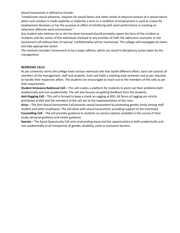Sexual harassment is defined to include:

"Unwelcome sexual advances, requests for sexual favors and other verbal or physical conduct of a sexual nature when such conduct is made explicitly or implicitly a term or a condition of employment is used as a basis for employment decisions or has the purpose or effect of interfering with work performance or creating an otherwise offensive work environment."

Any student who believes he or she has been harassed should promptly report the facts of the incident or incidents and the names of the individuals involved to any member of staff, the admission counselor or the harassment cell without fear of reprisal. Confidentiality will be maintained. The college will investigate all claims and take appropriate action.

The Institute considers harassment to be a major offense, which can result in disciplinary action taken by the management.

#### **REDRESSAL CELLS**

As per university norms the college hosts various redressal cells that tackle different affairs. Each cell consists of members of the management, staff and students. Each cell holds a meeting each semester and as per required to handle their respective affairs. The students are encouraged to reach out to the members of the cells as per their requirement.

**Student Grievance Redressal Cell –** This cell creates a platform for students to point out their problems both academically and non-academically. The cell also focuses on getting feedback from the students.

**Anti-Ragging Cell** – This cell is formed to keep a check on ragging at BSD. All forms of ragging are strictly prohibited at BSD and the members of the cell see to the implementation of the rules.

**Arivu** – The Anti-Sexual Harassment Cell prevents sexual harassment by promoting gender amity among staff, student and other employees. The cell deals with sexual harassment, providing support to the victimized. **Counselling Cell** – The cell provides guidance to students on various options available in the course of their

study, personal guidance and career guidance.

**Samata** – The Equal Opportunity Cell aims at providing equal and fair opportunities in both academically and non-academically to all irrespective of gender, disability, caste or economic barriers.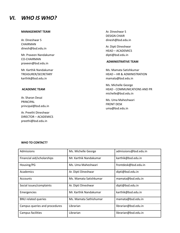## *VI. WHO IS WHO?*

#### **MANAGEMENT TEAM**

Ar. Dineshwar S CHAIRMAN dinesh@bsd.edu.in

Mr. Praveen Nandakumar CO-CHAIRMAN praveen@bsd.edu.in

Mr. Karthik Nandakumar TREASURER/SECRETARY karthik@bsd.edu.in

#### **ACADEMIC TEAM**

Ar. Sharan Desai PRINCIPAL principal@bsd.edu.in

Ar. Preethi Dineshwar DIRECTOR – ACADEMICS preethi@bsd.edu.in

Ar. Dineshwar S DESIGN CHAIR dinesh@bsd.edu.in

Ar. Dipti Dineshwar HEAD – ACADEMICS dipti@bsd.edu.in

#### **ADMINISTRATIVE TEAM**

Ms. Mamata Satishkumar HEAD – HR & ADMINISTRATION mamata@bsd.edu.in

Ms. Michelle George HEAD - COMMUNICATIONS AND PR michelle@bsd.edu.in

Ms. Uma Maheshwari FRONT DESK uma@bsd.edu.in

#### **WHO TO CONTACT?**

| Admissions                    | Ms. Michelle George    | admissions@bsd.edu.in |
|-------------------------------|------------------------|-----------------------|
| Financial aid/scholarships    | Mr. Karthik Nandakumar | karthik@bsd.edu.in    |
| Housing/PG                    | Ms. Uma Maheshwari     | frontdesk@bsd.edu.in  |
| Academics                     | Ar. Dipti Dineshwar    | dipti@bsd.edu.in      |
| Accounts                      | Ms. Mamata Satishkumar | mamata@bsd.edu.in     |
| Social issues/complaints      | Ar. Dipti Dineshwar    | dipti@bsd.edu.in      |
| Emergencies                   | Mr. Karthik Nandakumar | karthik@bsd.edu.in    |
| <b>BNU related queries</b>    | Ms. Mamata Sathishumar | mamata@bsd.edu.in     |
| Campus queries and procedures | Librarian              | librarian@bsd.edu.in  |
| Campus facilities             | Librarian              | librarian@bsd.edu.in  |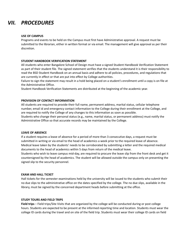## *VII. PROCEDURES*

#### **USE OF CAMPUS**

Programs and events to be held on the Campus must first have Administrative approval. A request must be submitted to the librarian, either in written format or via email. The management will give approval as per their discretion.

#### **STUDENT HANDBOOK VERIFICATION STATEMENT**

All students who enter Bangalore School of Design must have a signed Student Handbook Verification Statement as part of their student file. The signed statement verifies that the students understand it is their responsibility to read the BSD Student Handbook on an annual basis and adhere to all policies, procedures, and regulations that are currently in effect or that are put into effect by College authorities.

Failure to sign the statement may result in a hold being placed on a student's enrollment until a copy is on file at the Administrative Office.

Student Handbook Verification Statements are distributed at the beginning of the academic year.

#### **PROVISION OF CONTACT INFORMATION**

All students are required to provide their full name, permanent address, marital status, cellular telephone number, email id and emergency contact information to the College during their enrollment at the College, and are required to notify the College of any changes to this information as soon as possible.

Students who change their personal status (e.g., name, marital status, or permanent address) must notify the Administrative Office so that accurate records may be maintained by the College.

#### **LEAVE OF ABSENCE**

If a student requires a leave of absence for a period of more than 3 consecutive days, a request must be submitted in writing or via email to the head of academics a week prior to the required leave of absence. Medical leave taken by the students' needs to be corroborated by submitting a letter and the required medical documents to the head of academics within 5 days from return of the medical leave.

Students who wish to leave campus mid-day, are required to procure the leave slip from the front desk and get it countersigned by the head of academics. The student will be allowed outside the campus only on presenting the signed slip to the security personnel.

#### **EXAM AND HALL TICKET**

Hall tickets for the semester examinations held by the university will be issued to the students who submit their no due slips to the administrative office on the dates specified by the college. The no due slips, available in the library, must be signed by the concerned department heads before submitting at the office.

#### **STUDY TOURS AND FIELD TRIPS**

**Field trips** – Field trips/Site Visits that are organized by the college will be conducted during or post college hours. Students are expected to be present at the informed reporting time and location. Students must wear the college ID cards during the travel and on site of the field trip. Students must wear their college ID cards on field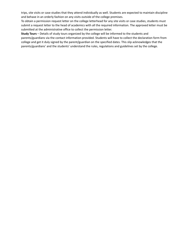trips, site visits or case studies that they attend individually as well. Students are expected to maintain discipline and behave in an orderly fashion on any visits outside of the college premises.

To obtain a permission request letter on the college letterhead for any site visits or case studies, students must submit a request letter to the head of academics with all the required information. The approved letter must be submitted at the administrative office to collect the permission letter.

**Study Tours** – Details of study tours organized by the college will be informed to the students and parents/guardians via the contact information provided. Students will have to collect the declaration form from college and get it duly signed by the parent/guardian on the specified dates. This slip acknowledges that the parents/guardians' and the students' understand the rules, regulations and guidelines set by the college.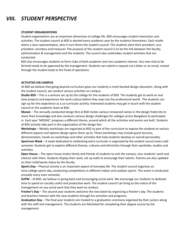## *VIII. STUDENT PERSPECTIVE*

#### **STUDENT ORGANIZATIONS**

Student organizations are an important dimension of college life. BSD encourages student interaction and activities. The student council at BSD is elected every academic year by the students themselves. Each studio elects a class representative, who in turn forms the student council. The students elect their president, vice president, secretary and treasurer. The purpose of the student council is to be the link between the faculty, administration & management and the students. The council also undertakes student activities that are conducted.

BSD also encourages students to form clubs of both academic and non-academic interest. Any new club to be formed needs to be approved by the management. Students can submit a request via a letter or an email, routed through the student body to the head of operations.

#### **ACTIVITIES ON CAMPUS**

At BSD we believe that going beyond curriculum gives our students a multi-faceted design education. Along with the student council, we conduct various activities on campus.

**Studio BSD** – This is a venture set up by the college for the students of BSD. The students get to work on real time projects and experience the work culture before they step into the professional world. The students can sign up for this experience as a co-curricular activity. Interested students may get in touch with the student council or the academic team at BSD.

**Mozaic** – The annually conducted design fest at BSD invites various renowned names in the design fraternity to share their knowledge and also conducts various design challenges for colleges across Bangalore to participate in. Each year 'MOZAIC' proposes a different theme, around which all the activities and events are built. Students of BSD actively take part in the organization of the design fest.

**Workshops** – Weekly workshops are organized at BSD as part of the curriculum to expose the students to various different aspects and options design opens them up to. These workshops may include guest lectures,

demonstration, hands-on workshops and other activities that help students develop an overall personality.

**Spectrum Week** – A week dedicated to celebrating extra-curricular is organized by the student council every odd semester. Students get to explore different themes, cultures and ethnicities through their wardrobe, studios and activities.

**Open House** – The open house invites family and friends of students to visit the campus, tour students' work and interact with them. Students display their work, set up stalls to encourage their talents. Parents are also updated on their child/wards status by the faculty.

**Sports Day** – Physical activity is an important aspect of everyday life. The student council organizes an intra-college sports day, conducting competitions in different indoor and outdoor sports. This event is conducted annually every even semester.

**SUPW** – At BSD, we believe in giving back and encouraging social work. We encourage our students to dedicate time to spend on socially useful and productive work. The student council can bring to the notice of the management on any social work that they want to conduct.

**Fresher's Day** – The second year students welcome the new batch by organizing a fresher's day. The students and teachers interact with the new students through fun activities and programs.

**Graduation Day** – The final year students are treated to a graduation ceremony organized by their juniors along with the staff and management. The students are felicitated for completing their degree course by the management.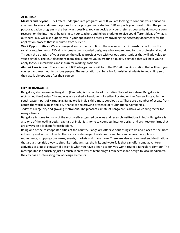#### **AFTER BSD**

**Masters and Beyond** – BSD offers undergraduate programs only. If you are looking to continue your education you need to look at different options for your post graduate studies. BSD supports your quest to find the perfect post-graduation program in the best ways possible. You can decide on your preferred course by doing your own research on the internet or by talking to your teachers and fellow students to give you different ideas of what is out there. BSD will also support you in your application process by providing the necessary documents for the application process that is required from our end.

**Work Opportunities** – We encourage all our students to finish the course with an internship apart from the syllabus requirements. BSD aims to create well rounded designers who are prepared for the professional world. Through the duration of your course, the college provides you with various opportunities that will add value to your portfolio. The BSD placement team also supports you in creating a quality portfolio that will help you to apply for your internships and in turn for working positions.

**Alumni Association** – The students of BSD who graduate will form the BSD Alumni Association that will help you connect and reach out to various people. The Association can be a link for existing students to get a glimpse of their available options after their course.

#### **CITY OF BANGALORE**

Bangalore, also known as Bengaluru (Kannada) is the capital of the Indian State of Karnataka. Bangalore is nicknamed the Garden City and was once called a Pensioner's Paradise. Located on the Deccan Plateau in the south-eastern part of Karnataka, Bangalore is India's third most populous city. There are a number of expats from across the world living in the city, thanks to the growing presence of Multinational Companies.

Today as a large city and growing metropolis. The pleasant climate of Bangalore is also a welcoming factor for many citizens.

Bangalore is home to many of the most well-recognized colleges and research institutions in India. Bangalore is also one of the leading design capitals of India. It is home to countless interior design and architecture firms that are always on a lookout for fresh talent.

Being one of the cosmopolitan cities of the country, Bangalore offers various things to do and places to see, both in the city and in the outskirts. There are a wide range of restaurants and bars, museums, parks, lakes, monuments, shopping complexes, events, markets and many more. There are also various weekend destinations that are a short ride away to sites like heritage sites, the hills, and waterfalls that can offer some adventure activities or a quick getaway. If design is what you have a keen eye for, you won't regret a Bangalore city tour. The metropolitan is flourishing just as much in creativity as technology. From aerospace design to local handicrafts, the city has an interesting mix of design elements.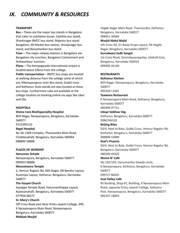## *IX. COMMUNITY & RESOURCES*

#### **TRANSPORT**

**Bus –** These are the major bus stands in Bangalore that cater to outstation buses. Satellite bus stand, Shantinagar BMTC bus stand, Majestic bus stand Bangalore, KR Market bus station, Shivajinagar bus stand, and Banashankari bus stand.

**Train –** The major railway stations in Bangalore are Bangalore city Junction, Bangalore Cantonment and Yeshwantpur Junction.

**Plane** – The Kempegowda International airport is located about 23kms from the college.

**Public transportation** – BMTC bus stops are located at walking distance from the college some of which are, KNarayanapura main Bus stand, Gubbi cross and Kothanur. Auto stands are also located at these bus stops. Furthermore cabs are available at the college location on booking online via apps like Uber and Ola.

#### **HOSPITALS**

#### **Divine Care Multispeciality Hospital**

BDS Nagar, Narayanapura, Bengaluru, Karnataka 560077

9152393110

#### **Regal Hospital**

No 30, CMR Complex, Thanisandra Main Road, Chokkanahalli, Bengaluru, Karnataka 560064 088840 58888

#### **PLACES OF WORSHIP**

#### **Hanuman Temple**

Narayanapura, Bengaluru, Karnataka 560077 099453 98888

#### **Muneshwara Temple**

2, Hennur Bagalur Rd, BDS Nagar, DR Bendre Layout, Kuvempu Layout, Kothanur, Bengaluru, Karnataka 560077

#### **The Gospel Church**

Ayyappa Temple Road, Hanumanthappa Layout, Kyalasanahalli, Bengaluru, Karnataka 560077 077956 68277

#### **St. Mary's Church**

Off Cross Road post Near Kristu Jayanti College, 399, K Narayanapura Main Road, Narayanapura, Bengaluru, Karnataka 560077 **Makkah Masjid**

Hegde Nagar Main Road, Thanisandra, Kothanur, Bengaluru, Karnataka 560077 098451 30684

#### **Masjid Abdul Majid**

5th Cross Rd, Sri Balaji Krupa Layout, RK Hegde Nagar, Bengaluru, Karnataka 560077

#### **Gurudwara Sadh Sangat**

1st Cross Road, Govindayyanapalya, Jalahalli East, Bengaluru, Karnataka 560014 099009 26140

#### **RESTAURANTS**

#### **Kothanur Kitchen**

BDS Nagar, Narayanapura, Bengaluru, Karnataka 560077 095358 11681

#### **Taawoon Restaurant**

K Narayanapura Main Road, Kothanur, Bengaluru, Karnataka 560077 085999 97711

#### **Udupi Vaibhav Veg**

Kothanur, Bengaluru, Karnataka 560077 9986746318

#### **Beijing Bites**

50/4, Next to Bata, Gubbi Cross, Hennur Bagalur Rd, Kothanur, Bengaluru, Karnataka 560077 088808 55889

#### **Koel's Pizzeria**

50/4, Next to Bata, Gubbi Cross, Hennur Bagalur Rd, Bengaluru, Karnataka 560077 080500 45420

#### **Momo N' Café**

No.192/193, Hanumanthe Gowda circle, K.Narayanapura, Kothanur, Bengaluru, Karnataka 560077

### 099727 86025

**Soul Valley Café**

RS Building, Shop #1, Building, K Narayanapura Main Road, opposite Kristu Jayanti College, Kothanur Post, Narayanapura, Bengaluru, Karnataka 560077 083107 18843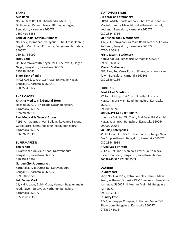#### **BANKS**

#### **Axis Bank**

No 149 80ft Rd, Off, Thanisandra Main Rd, Dr.Shivaram Karanth Nagar, RK Hegde Nagar, Bengaluru, Karnataka 560077 1860 419 5555

#### **Bank of India, Kothanur Branch**

No.1 & 2, Indradhanush layout, Gubbi Cross Hennur, Bagalur Main Road, Kothanur, Bengaluru, Karnataka 560077

080 2844 3099

#### **HDFC Bank**

Dr Shivaramkaranth Nagar, MCECHS Layout, Hegde Nagar, Bengaluru, Karnataka 560077 075739 19585

#### **State Bank of India**

M.C.E.C.H.S. Layout 1st Phase, RK Hegde Nagar, Bengaluru, Karnataka 560045 080 2594 3127

#### **PHARMACIES**

#### **Krishna Medicals & General Store**

Hegade 560077, RK Hegde Nagar, Bengaluru, Karnataka 560077 099720 26518

#### **Ravi Medical & General Stores**

#196, Annapurneshwari Building kuvempu Layout, Gubbi Cross, hennur bagalur, Road,, Bengaluru, Karnataka 560077 096326 11530

#### **SUPERMARKETS**

#### **Smart Kart**

K Narayanapura Main Road, Narayanapura, Bengaluru, Karnataka 560077 080 2973 6969

#### **Garden City Supermarket**

Karnataka, K, 1st Cross Rd, Narayanapura, Bengaluru, Karnataka 560077 089510 02858

#### **Lulu Value Mart**

11, K G Arcade, Gubbi Cross, Hennur- Bagalur, main road, Kuvempu Layout, Kothanur, Bengaluru, Karnataka 560077 095383 83830

#### **STATIONARY STORE**

#### **J B Xerox and Stationery**

50/8A, AGON Sports Arena, Gubbi Cross, Near Lulu Market, Hennur Main Rd, Indradhanush Layout, Kothanur, Bengaluru, Karnataka 560077 080 2844 3716

#### **Sri Krishna book & stationers**

#32, 2, K Narayanapura Main Road, Near CSI Colony, Kothanur, Bengaluru, Karnataka 560077 072048 06948

#### **Kristu Jayanti Stationery**

Narayanapura, Bengaluru, Karnataka 560077 095918 68834

#### **Manasi Stationers**

682, Ews, 2nd Cross Rd, 4th Phase, Yelahanka New Town, Bengaluru, Karnataka 560106 080 2856 0186

#### **PRINTING**

#### **Print 2 Last Solutions**

#7 Poorvi Nilaya, 1st Cross, Shirdisai Nagar K Narayanapura Main Road, Bengaluru, Karnataka 560077

098805 85743

#### **SRI VINAYAKA ENTERPRISES**

Upendra Building Old Town, 2nd Cross Rd, Gandhi Nagar, Yelahanka, Bengaluru, Karnataka 560064 099009 09055

#### **Sri Balaji Enterprises**

#1 1st Floor Opp B S N L Telephone Exchange Near Bus Stop Kothanur, Bengaluru, Karnataka 560077 080 2844 3984

#### **Aruna Cadd Printers**

S112-C, 1st Floor, Manipal Centre, South Block, Dickenson Road, Bengaluru, Karnataka 560042 9663874660 / 9740837503

#### **LAUNDRY**

#### **LaundroKart**

Shop No. G-4, B-12, Petra Complex Hennur Main Road, Kothanur Opposite KTM Showroom Bangalore Karnataka 560077 IN, Hennur Main Rd, Bengaluru, Karnataka

095136 29332

#### **Laundry Café**

3 & 4, Anjinappa Complex, Kothanur, Below TVS Showroom, Bengaluru, Karnataka 560077 073532 41018